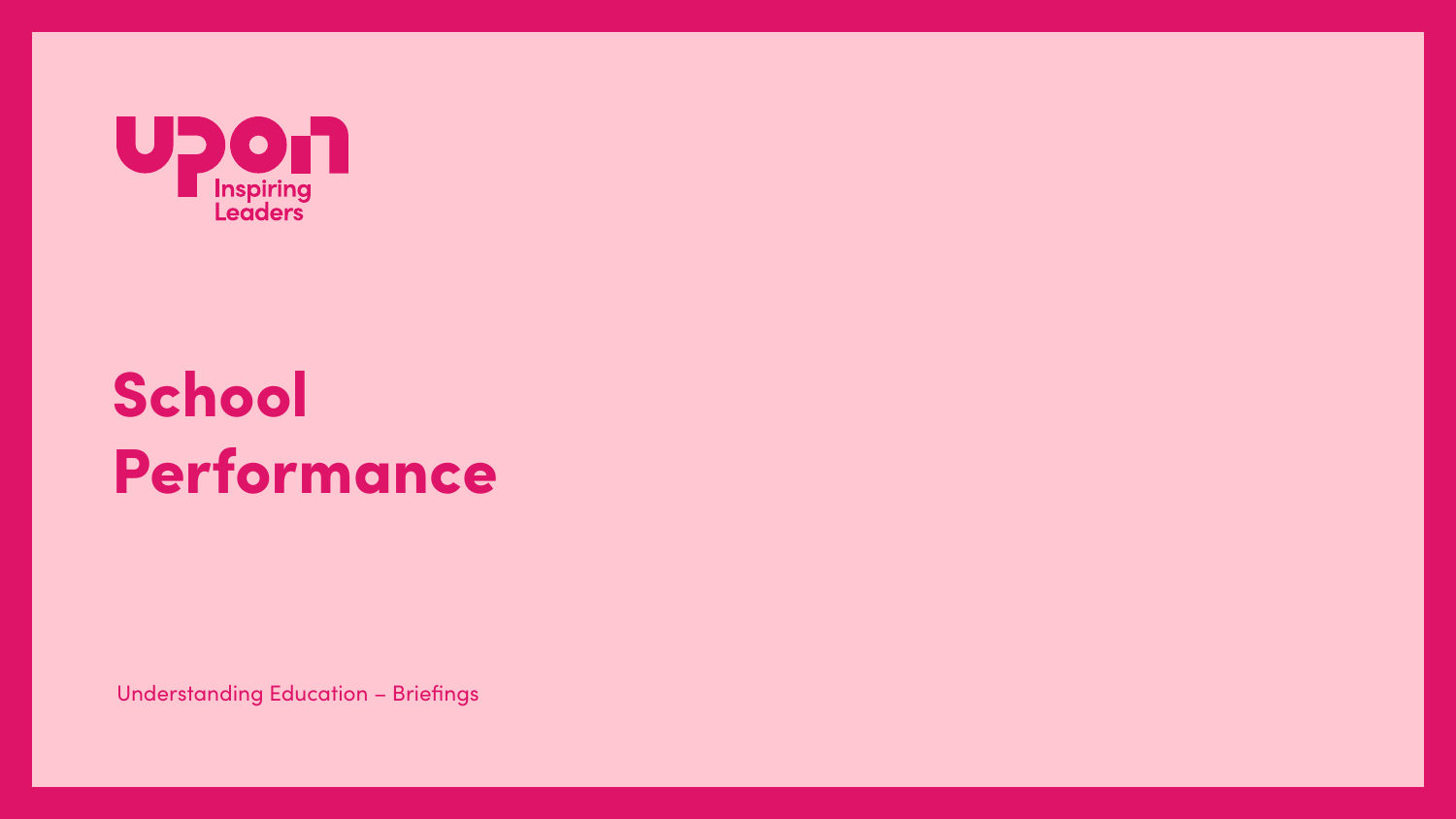

# School Performance

**Understanding Education - Briefings**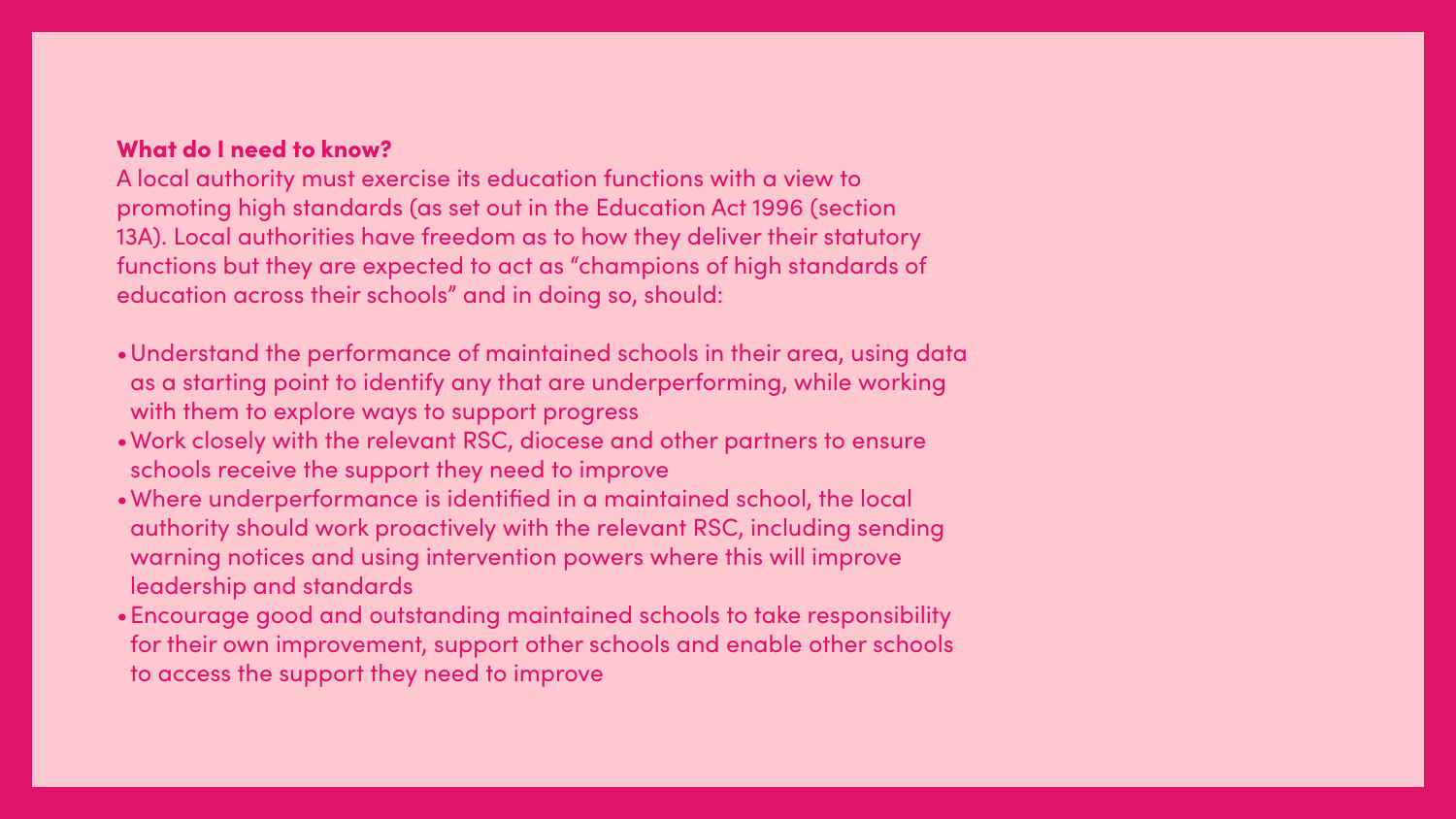## What do I need to know?

A local authority must exercise its education functions with a view to promoting high standards (as set out in the Education Act 1996 (section 13A). Local authorities have freedom as to how they deliver their statutory functions but they are expected to act as "champions of high standards of education across their schools" and in doing so, should:

- •Understand the performance of maintained schools in their area, using data as a starting point to identify any that are underperforming, while working with them to explore ways to support progress
- •Work closely with the relevant RSC, diocese and other partners to ensure schools receive the support they need to improve
- •Where underperformance is identified in a maintained school, the local authority should work proactively with the relevant RSC, including sending warning notices and using intervention powers where this will improve leadership and standards
- •Encourage good and outstanding maintained schools to take responsibility for their own improvement, support other schools and enable other schools to access the support they need to improve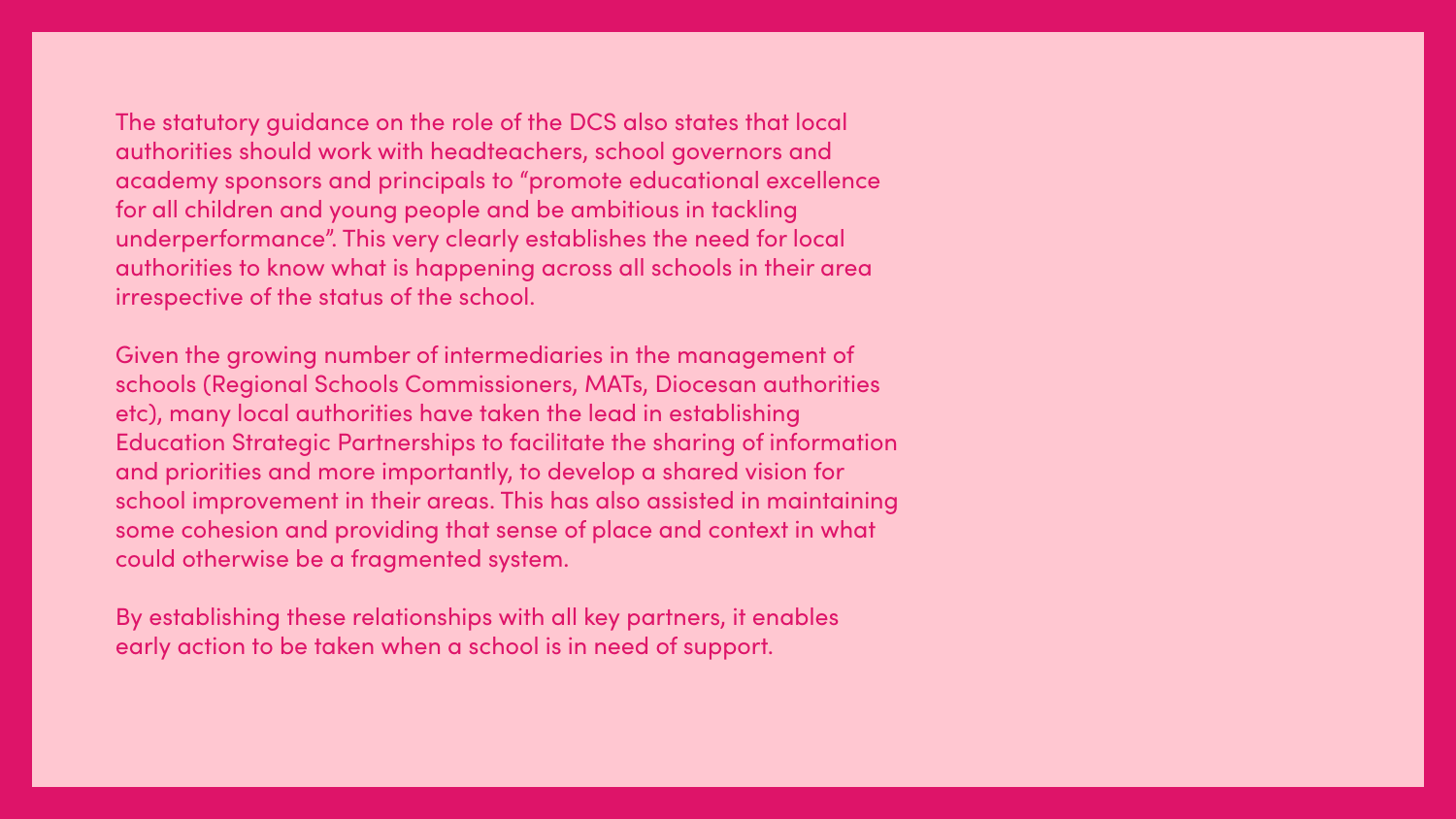## The statutory guidance on the role of the DCS also states that local authorities should work with headteachers, school governors and academy sponsors and principals to "promote educational excellence for all children and young people and be ambitious in tackling underperformance". This very clearly establishes the need for local authorities to know what is happening across all schools in their area

irrespective of the status of the school.

Given the growing number of intermediaries in the management of schools (Regional Schools Commissioners, MATs, Diocesan authorities etc), many local authorities have taken the lead in establishing Education Strategic Partnerships to facilitate the sharing of information and priorities and more importantly, to develop a shared vision for school improvement in their areas. This has also assisted in maintaining some cohesion and providing that sense of place and context in what could otherwise be a fragmented system.

By establishing these relationships with all key partners, it enables early action to be taken when a school is in need of support.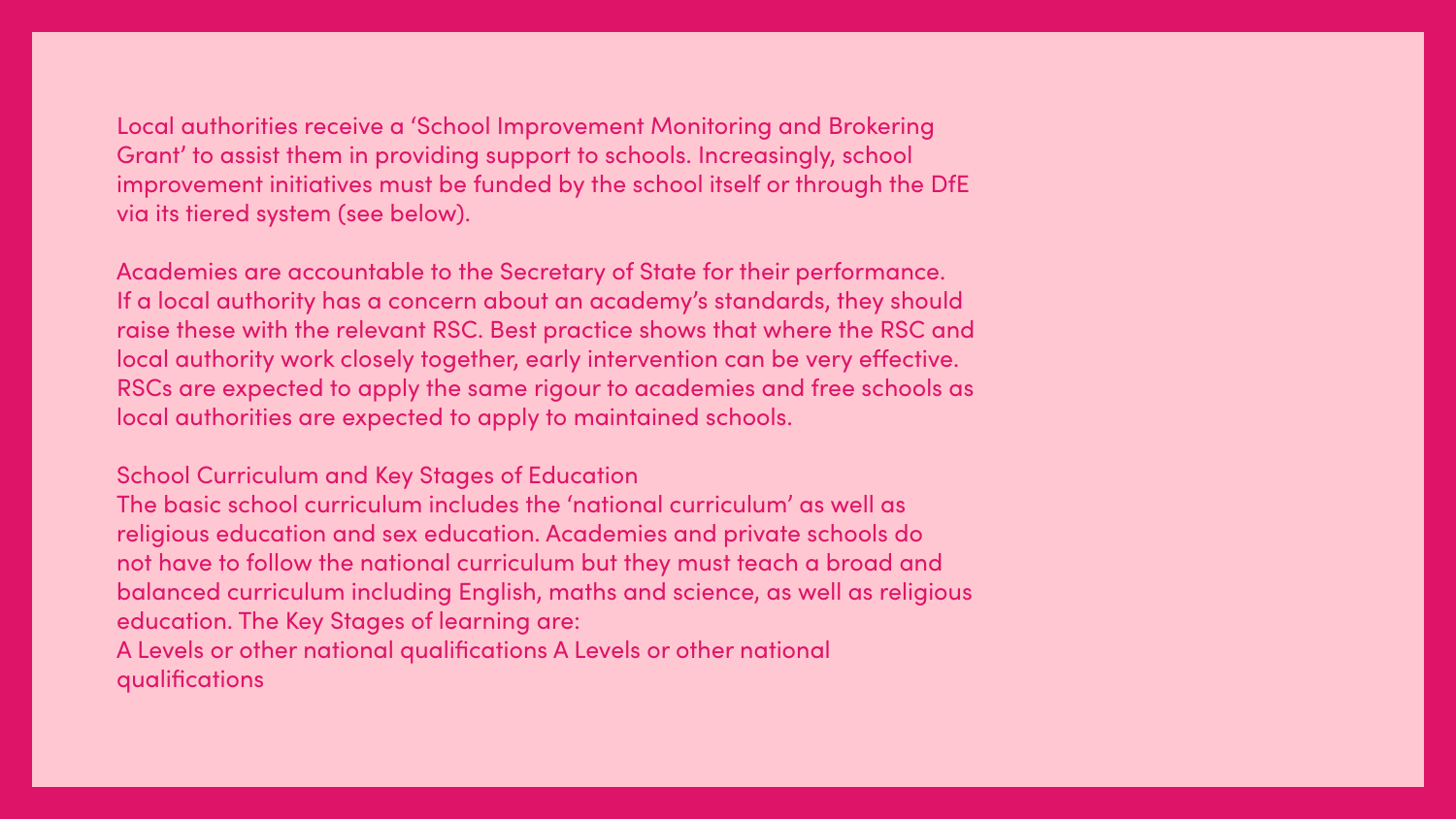## Local authorities receive a 'School Improvement Monitoring and Brokering Grant' to assist them in providing support to schools. Increasingly, school improvement initiatives must be funded by the school itself or through the DfE via its tiered system (see below).

Academies are accountable to the Secretary of State for their performance. If a local authority has a concern about an academy's standards, they should raise these with the relevant RSC. Best practice shows that where the RSC and local authority work closely together, early intervention can be very effective. RSCs are expected to apply the same rigour to academies and free schools as local authorities are expected to apply to maintained schools.

**School Curriculum and Key Stages of Education** The basic school curriculum includes the 'national curriculum' as well as religious education and sex education. Academies and private schools do not have to follow the national curriculum but they must teach a broad and balanced curriculum including English, maths and science, as well as religious education. The Key Stages of learning are: A Levels or other national qualifications A Levels or other national qualifications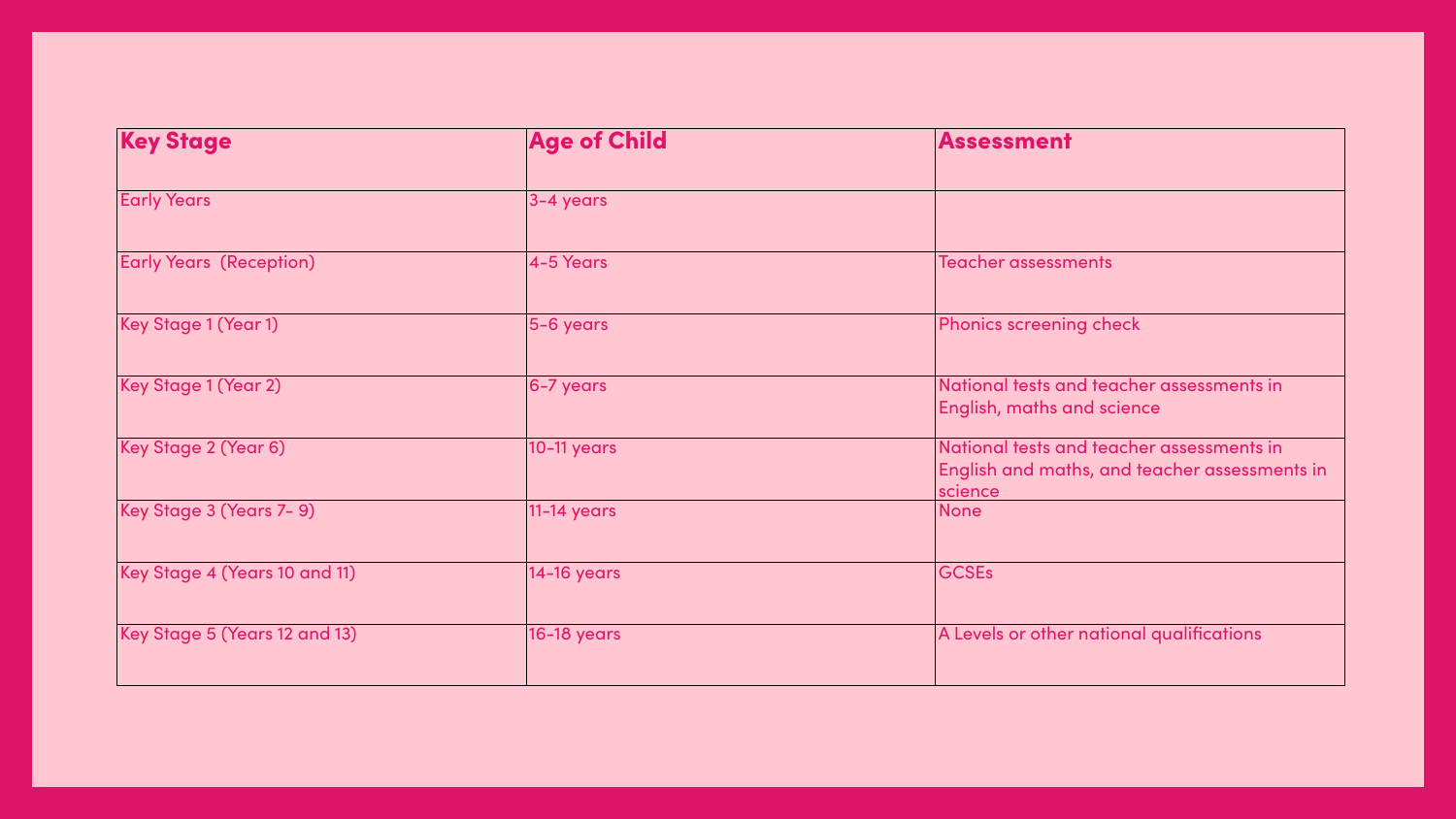| <b>Key Stage</b>               | <b>Age of Child</b> | Assessment                                                                                 |
|--------------------------------|---------------------|--------------------------------------------------------------------------------------------|
| <b>Early Years</b>             | 3-4 years           |                                                                                            |
| <b>Early Years (Reception)</b> | 4-5 Years           | Teacher assessments                                                                        |
| Key Stage 1 (Year 1)           | 5-6 years           | Phonics screening check                                                                    |
| Key Stage 1 (Year 2)           | $ 6 - 7$ years      | National tests and teacher assessments in<br><b>English, maths and science</b>             |
| Key Stage 2 (Year 6)           | 10-11 years         | National tests and teacher assessments in<br>English and maths, and teacher assessments in |
| Key Stage 3 (Years 7-9)        | 11-14 years         | science<br>None                                                                            |
| Key Stage 4 (Years 10 and 11)  | 14-16 years         | <b>GCSEs</b>                                                                               |
| Key Stage 5 (Years 12 and 13)  | <b>16-18 years</b>  | A Levels or other national qualifications                                                  |
|                                |                     |                                                                                            |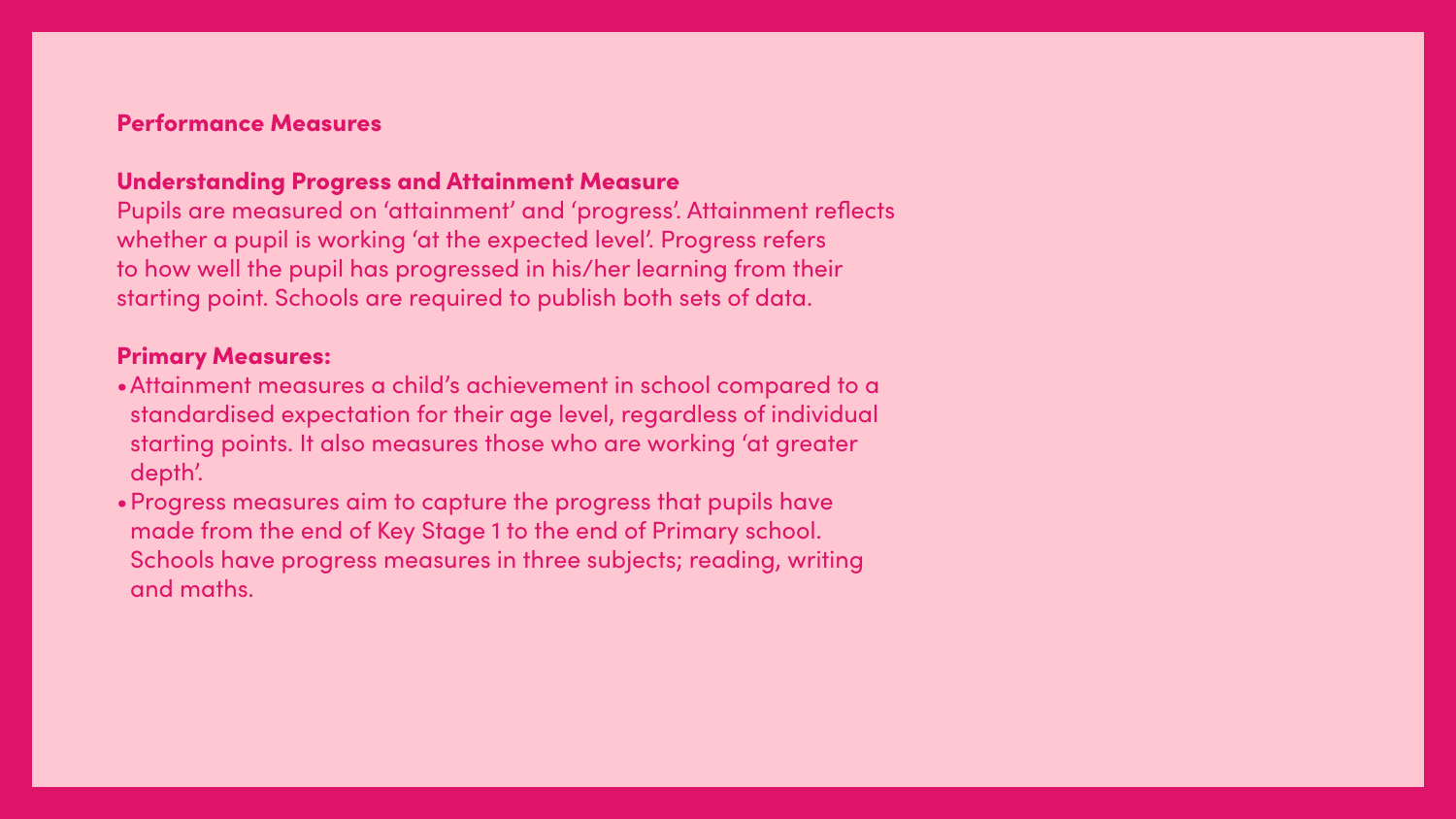## Performance Measures

## Understanding Progress and Attainment Measure

Pupils are measured on 'attainment' and 'progress'. Attainment reflects whether a pupil is working 'at the expected level'. Progress refers to how well the pupil has progressed in his/her learning from their starting point. Schools are required to publish both sets of data.

## Primary Measures:

- •Attainment measures a child's achievement in school compared to a standardised expectation for their age level, regardless of individual starting points. It also measures those who are working 'at greater depth'.
- •Progress measures aim to capture the progress that pupils have made from the end of Key Stage 1 to the end of Primary school. Schools have progress measures in three subjects; reading, writing and maths.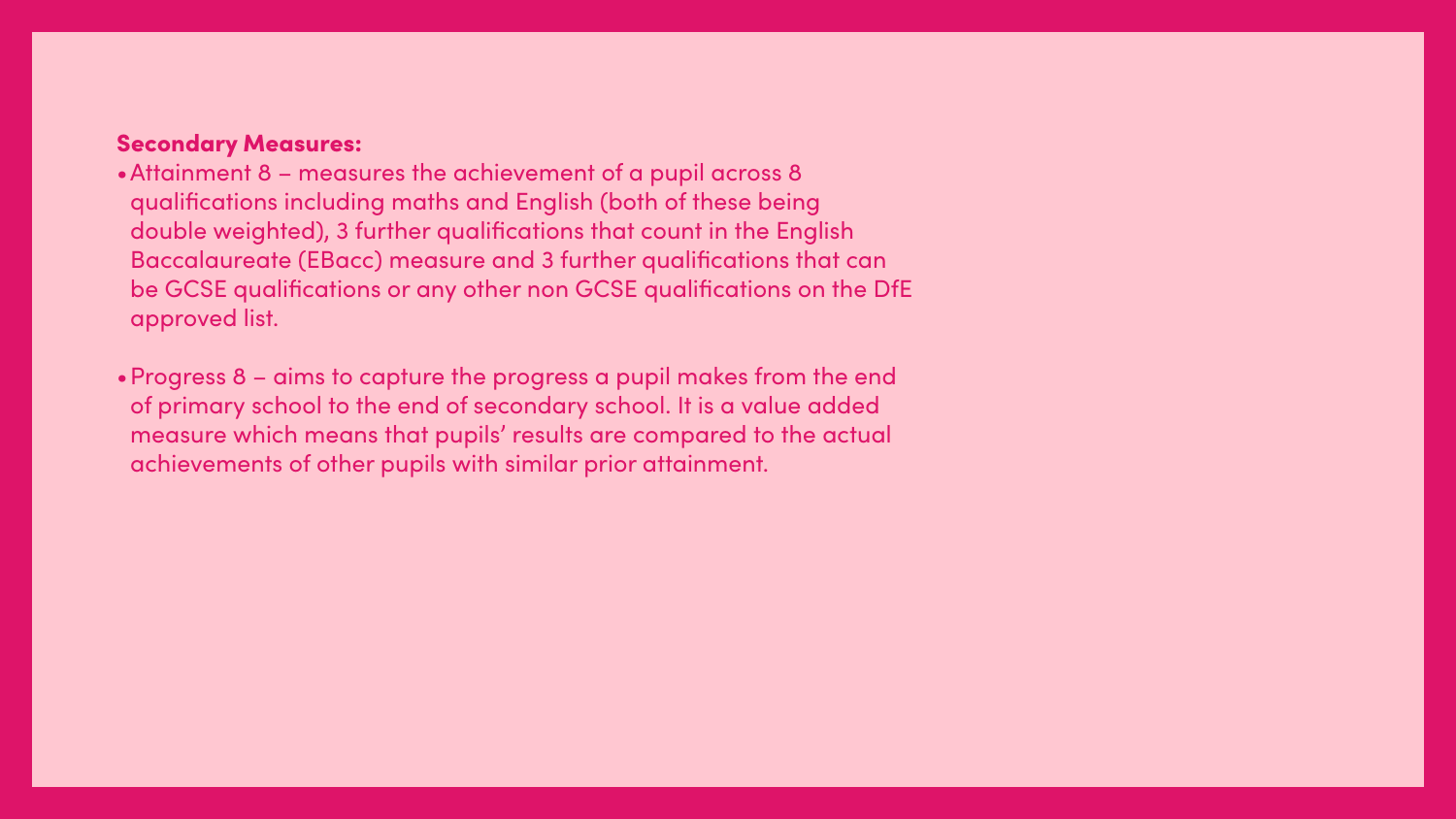### Secondary Measures:

- •Attainment 8 measures the achievement of a pupil across 8 qualifications including maths and English (both of these being double weighted), 3 further qualifications that count in the English Baccalaureate (EBacc) measure and 3 further qualifications that can be GCSE qualifications or any other non GCSE qualifications on the DfE approved list.
- •Progress 8 aims to capture the progress a pupil makes from the end of primary school to the end of secondary school. It is a value added measure which means that pupils' results are compared to the actual achievements of other pupils with similar prior attainment.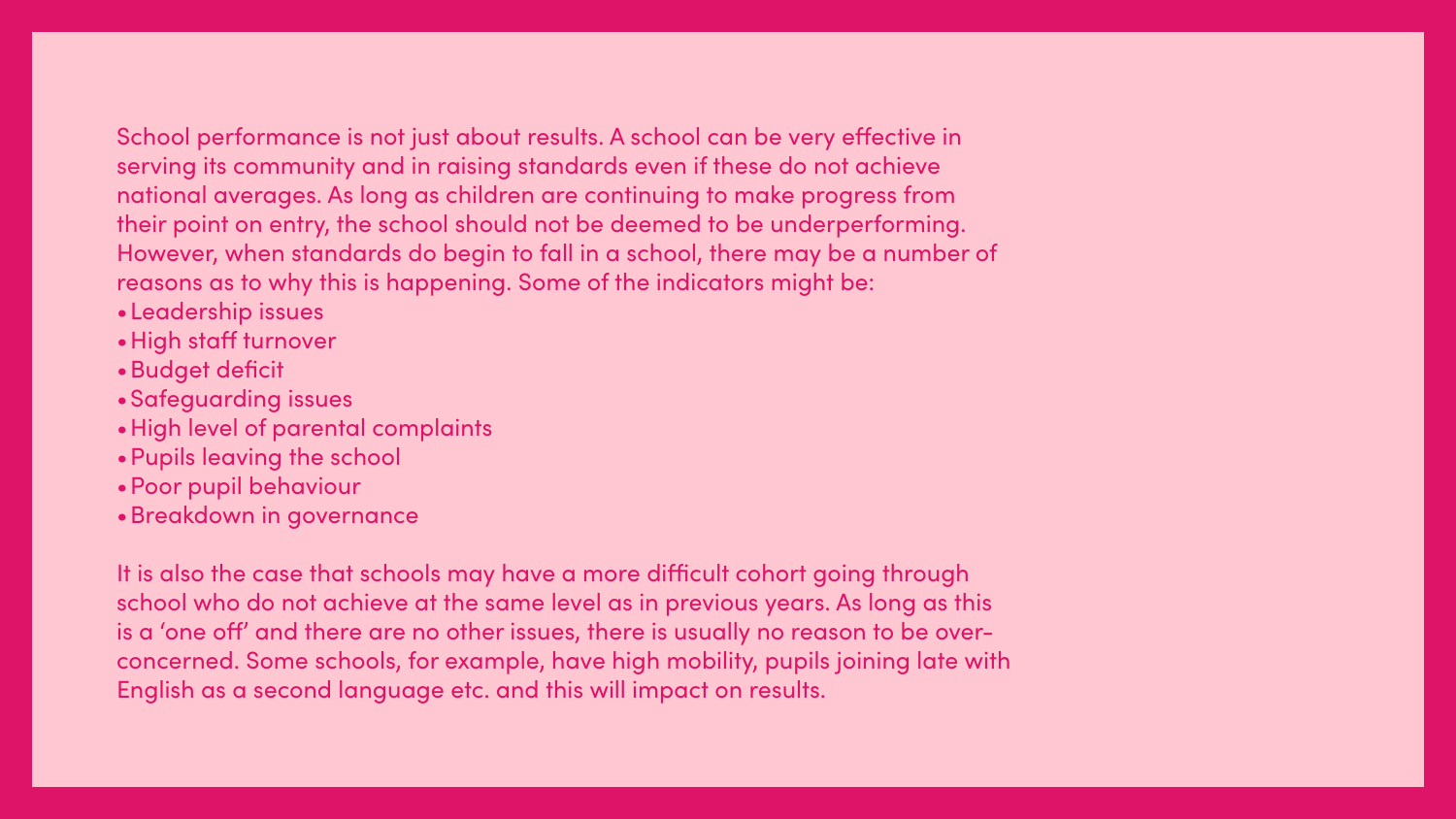## School performance is not just about results. A school can be very effective in serving its community and in raising standards even if these do not achieve national averages. As long as children are continuing to make progress from their point on entry, the school should not be deemed to be underperforming. However, when standards do begin to fall in a school, there may be a number of reasons as to why this is happening. Some of the indicators might be:

- •Leadership issues
- •High staff turnover
- •Budget deficit
- •Safeguarding issues
- •High level of parental complaints
- •Pupils leaving the school
- •Poor pupil behaviour
- •Breakdown in governance

It is also the case that schools may have a more difficult cohort going through school who do not achieve at the same level as in previous years. As long as this is a 'one off' and there are no other issues, there is usually no reason to be overconcerned. Some schools, for example, have high mobility, pupils joining late with English as a second language etc. and this will impact on results.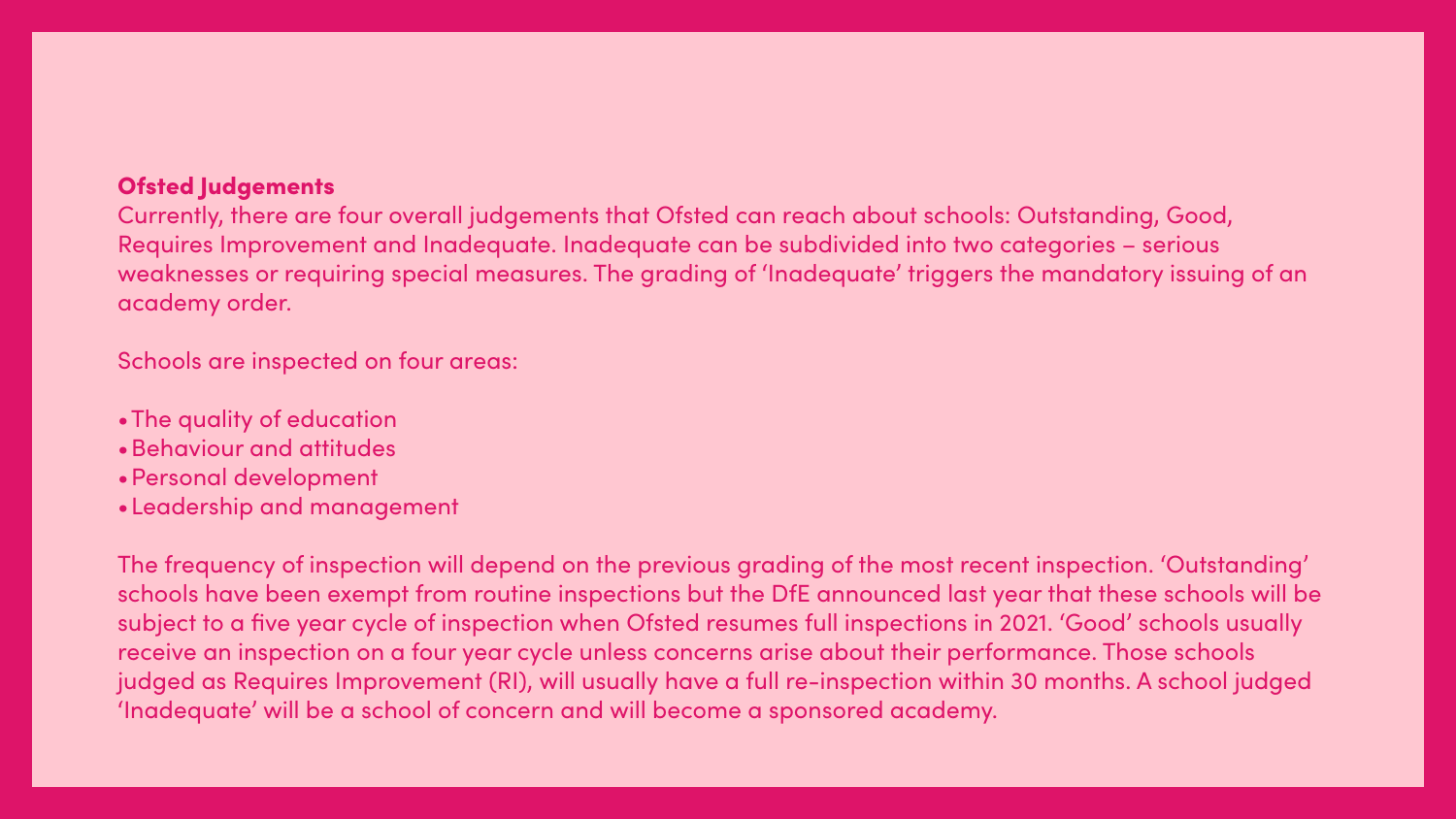## Ofsted Judgements

Currently, there are four overall judgements that Ofsted can reach about schools: Outstanding, Good, Requires Improvement and Inadequate. Inadequate can be subdivided into two categories – serious weaknesses or requiring special measures. The grading of 'Inadequate' triggers the mandatory issuing of an academy order.

Schools are inspected on four areas:

- •The quality of education
- •Behaviour and attitudes
- •Personal development
- •Leadership and management

The frequency of inspection will depend on the previous grading of the most recent inspection. 'Outstanding' schools have been exempt from routine inspections but the DfE announced last year that these schools will be subject to a five year cycle of inspection when Ofsted resumes full inspections in 2021. 'Good' schools usually receive an inspection on a four year cycle unless concerns arise about their performance. Those schools judged as Requires Improvement (RI), will usually have a full re-inspection within 30 months. A school judged 'Inadequate' will be a school of concern and will become a sponsored academy.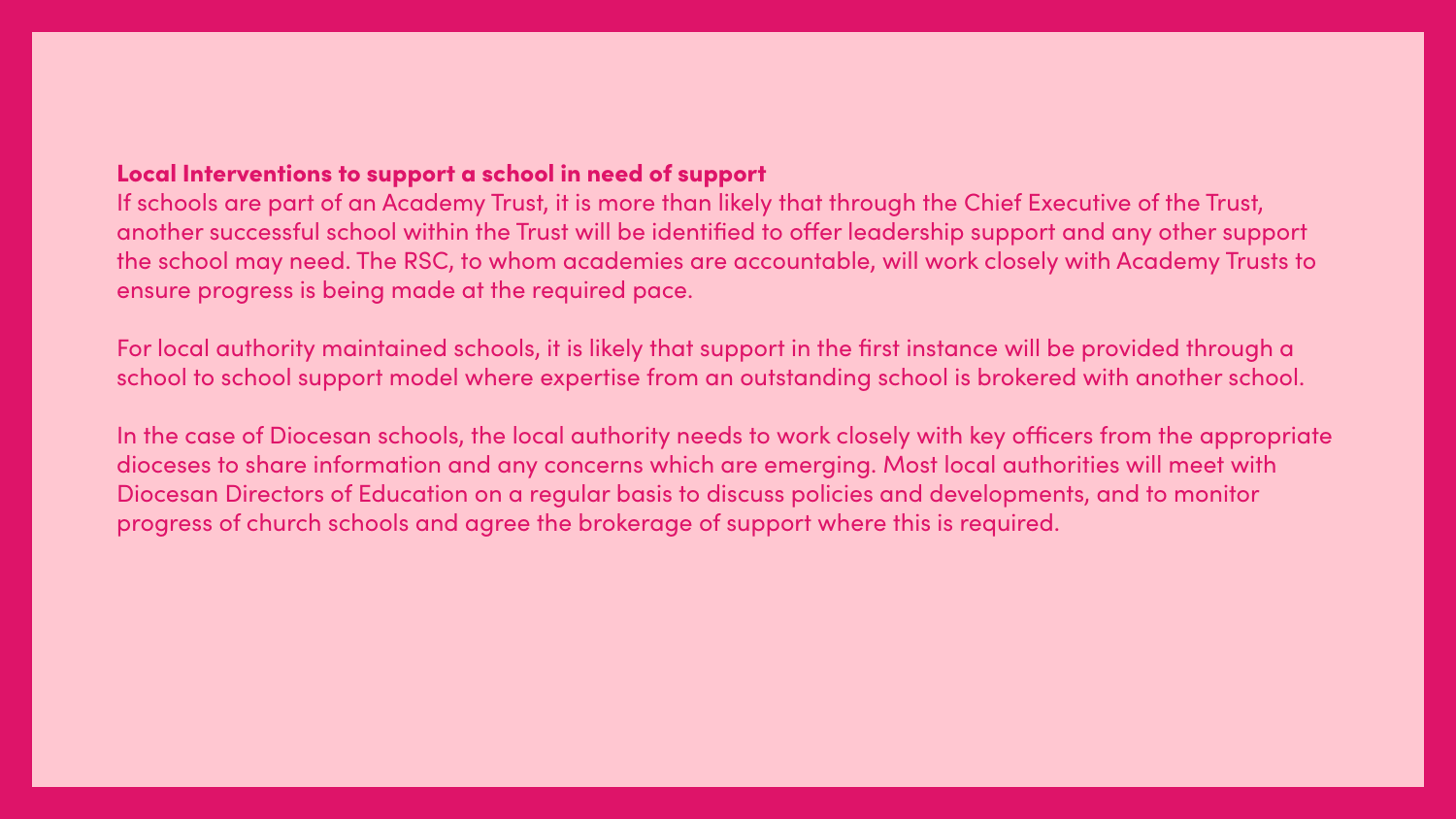Local Interventions to support a school in need of support If schools are part of an Academy Trust, it is more than likely that through the Chief Executive of the Trust, another successful school within the Trust will be identified to offer leadership support and any other support the school may need. The RSC, to whom academies are accountable, will work closely with Academy Trusts to ensure progress is being made at the required pace.

For local authority maintained schools, it is likely that support in the first instance will be provided through a school to school support model where expertise from an outstanding school is brokered with another school.

In the case of Diocesan schools, the local authority needs to work closely with key officers from the appropriate dioceses to share information and any concerns which are emerging. Most local authorities will meet with Diocesan Directors of Education on a regular basis to discuss policies and developments, and to monitor progress of church schools and agree the brokerage of support where this is required.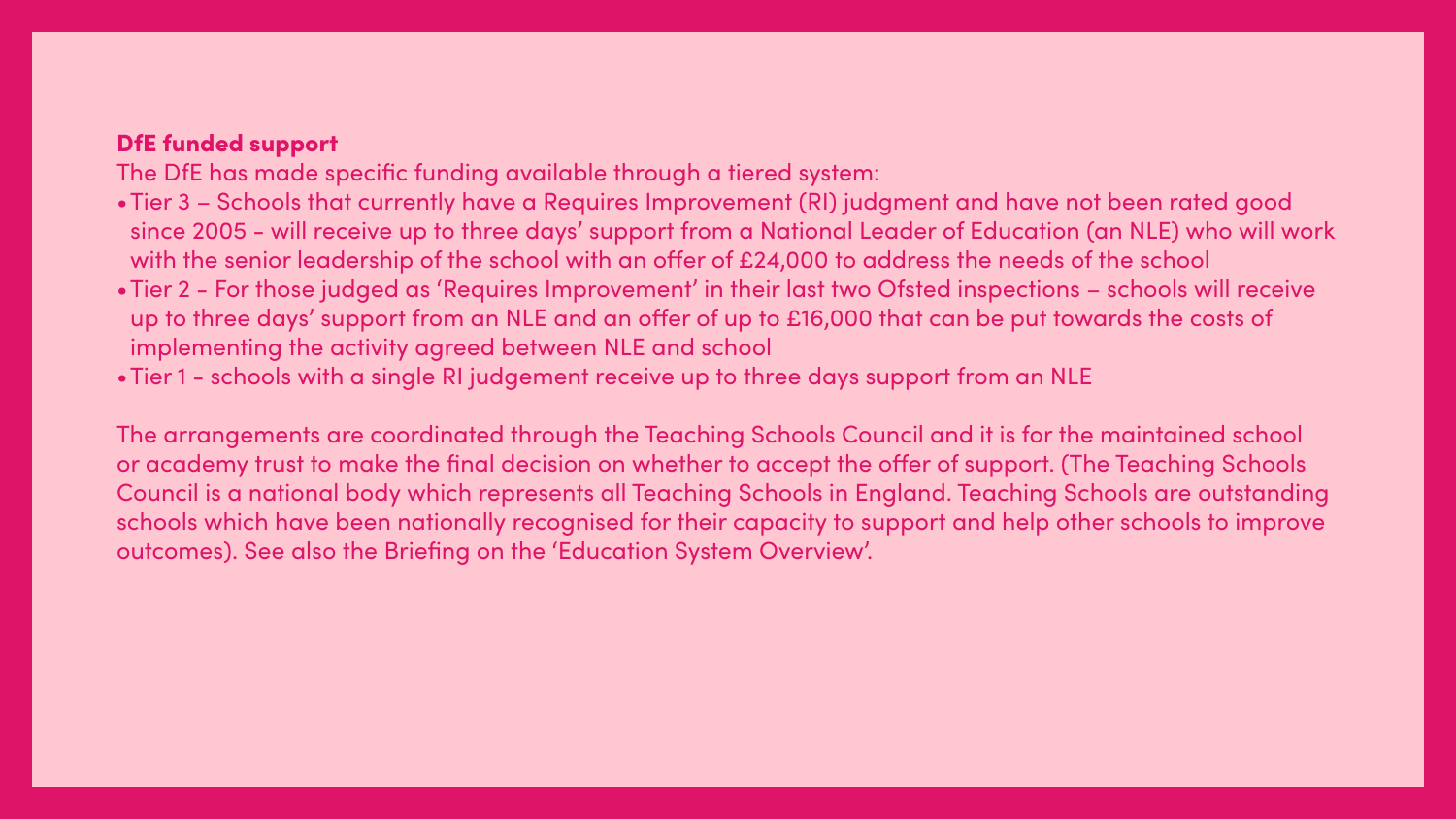## DfE funded support

The DfE has made specific funding available through a tiered system:

•Tier 3 – Schools that currently have a Requires Improvement (RI) judgment and have not been rated good since 2005 - will receive up to three days' support from a National Leader of Education (an NLE) who will work •Tier 2 - For those judged as 'Requires Improvement' in their last two Ofsted inspections – schools will receive up to three days' support from an NLE and an offer of up to £16,000 that can be put towards the costs of

- with the senior leadership of the school with an offer of £24,000 to address the needs of the school
- implementing the activity agreed between NLE and school
- •Tier 1 schools with a single RI judgement receive up to three days support from an NLE

The arrangements are coordinated through the Teaching Schools Council and it is for the maintained school or academy trust to make the final decision on whether to accept the offer of support. (The Teaching Schools Council is a national body which represents all Teaching Schools in England. Teaching Schools are outstanding schools which have been nationally recognised for their capacity to support and help other schools to improve outcomes). See also the Briefing on the 'Education System Overview'.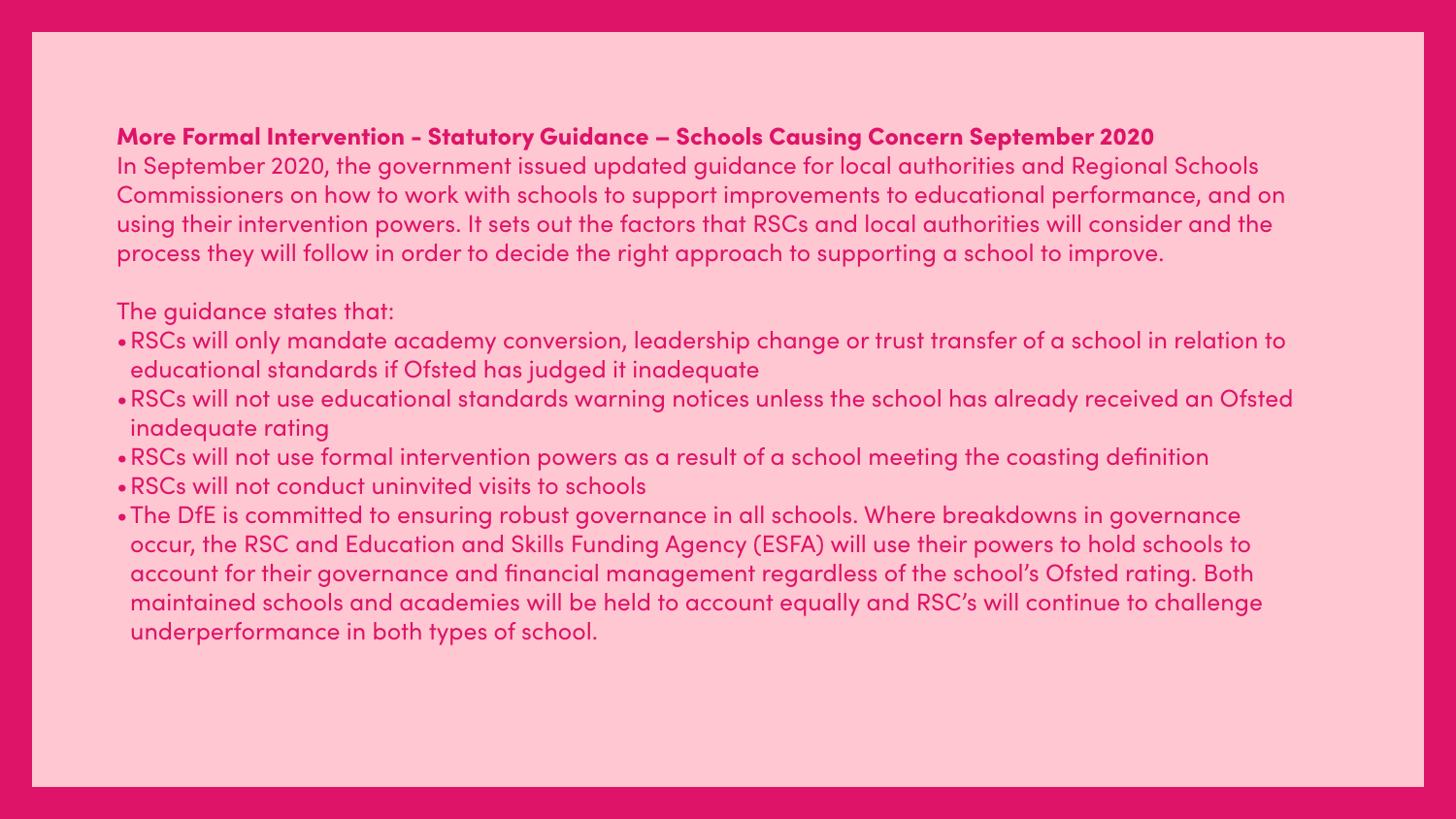## More Formal Intervention - Statutory Guidance – Schools Causing Concern September 2020

In September 2020, the government issued updated guidance for local authorities and Regional Schools Commissioners on how to work with schools to support improvements to educational performance, and on using their intervention powers. It sets out the factors that RSCs and local authorities will consider and the process they will follow in order to decide the right approach to supporting a school to improve.

The guidance states that:

- •RSCs will only mandate academy conversion, leadership change or trust transfer of a school in relation to educational standards if Ofsted has judged it inadequate
- •RSCs will not use educational standards warning notices unless the school has already received an Ofsted inadequate rating
- •RSCs will not use formal intervention powers as a result of a school meeting the coasting definition
- •RSCs will not conduct uninvited visits to schools
- •The DfE is committed to ensuring robust governance in all schools. Where breakdowns in governance occur, the RSC and Education and Skills Funding Agency (ESFA) will use their powers to hold schools to account for their governance and financial management regardless of the school's Ofsted rating. Both maintained schools and academies will be held to account equally and RSC's will continue to challenge underperformance in both types of school.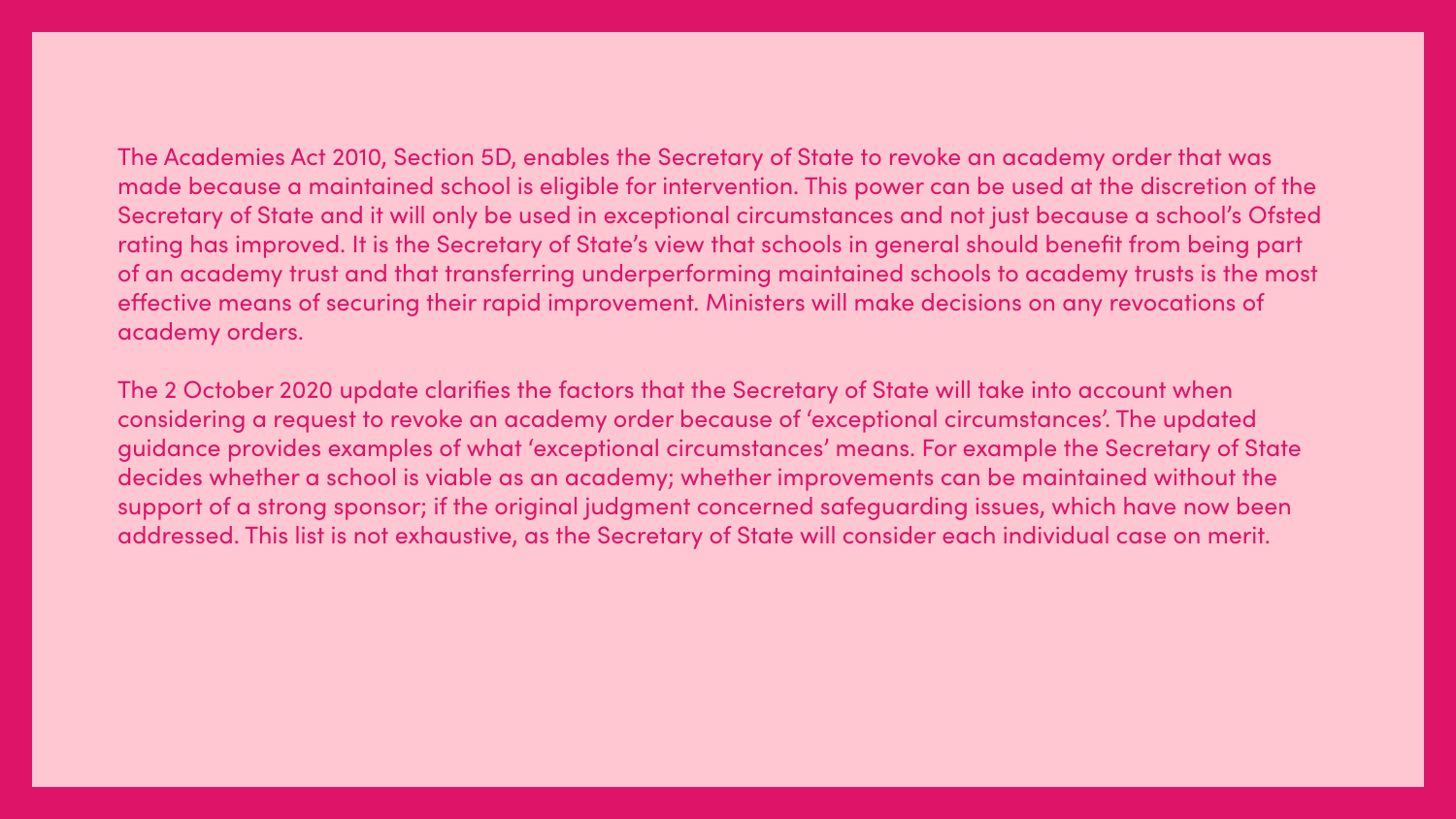The Academies Act 2010, Section 5D, enables the Secretary of State to revoke an academy order that was made because a maintained school is eligible for intervention. This power can be used at the discretion of the Secretary of State and it will only be used in exceptional circumstances and not just because a school's Ofsted rating has improved. It is the Secretary of State's view that schools in general should benefit from being part of an academy trust and that transferring underperforming maintained schools to academy trusts is the most effective means of securing their rapid improvement. Ministers will make decisions on any revocations of academy orders.

The 2 October 2020 update clarifies the factors that the Secretary of State will take into account when considering a request to revoke an academy order because of 'exceptional circumstances'. The updated guidance provides examples of what 'exceptional circumstances' means. For example the Secretary of State decides whether a school is viable as an academy; whether improvements can be maintained without the support of a strong sponsor; if the original judgment concerned safeguarding issues, which have now been addressed. This list is not exhaustive, as the Secretary of State will consider each individual case on merit.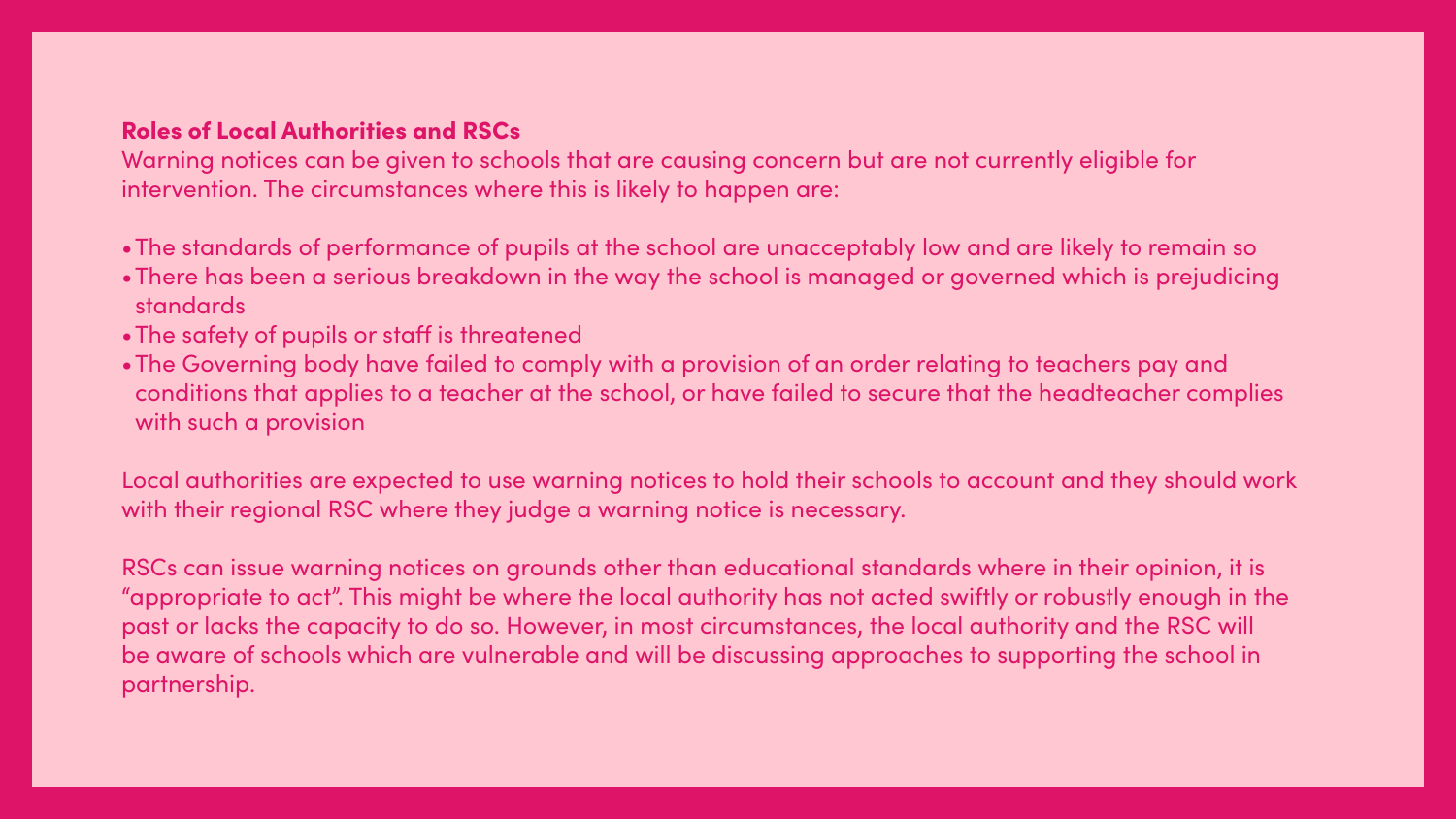## Roles of Local Authorities and RSCs

Warning notices can be given to schools that are causing concern but are not currently eligible for intervention. The circumstances where this is likely to happen are:

•The standards of performance of pupils at the school are unacceptably low and are likely to remain so •There has been a serious breakdown in the way the school is managed or governed which is prejudicing

- 
- standards
- •The safety of pupils or staff is threatened
- with such a provision

•The Governing body have failed to comply with a provision of an order relating to teachers pay and conditions that applies to a teacher at the school, or have failed to secure that the headteacher complies

Local authorities are expected to use warning notices to hold their schools to account and they should work with their regional RSC where they judge a warning notice is necessary.

RSCs can issue warning notices on grounds other than educational standards where in their opinion, it is "appropriate to act". This might be where the local authority has not acted swiftly or robustly enough in the past or lacks the capacity to do so. However, in most circumstances, the local authority and the RSC will be aware of schools which are vulnerable and will be discussing approaches to supporting the school in partnership.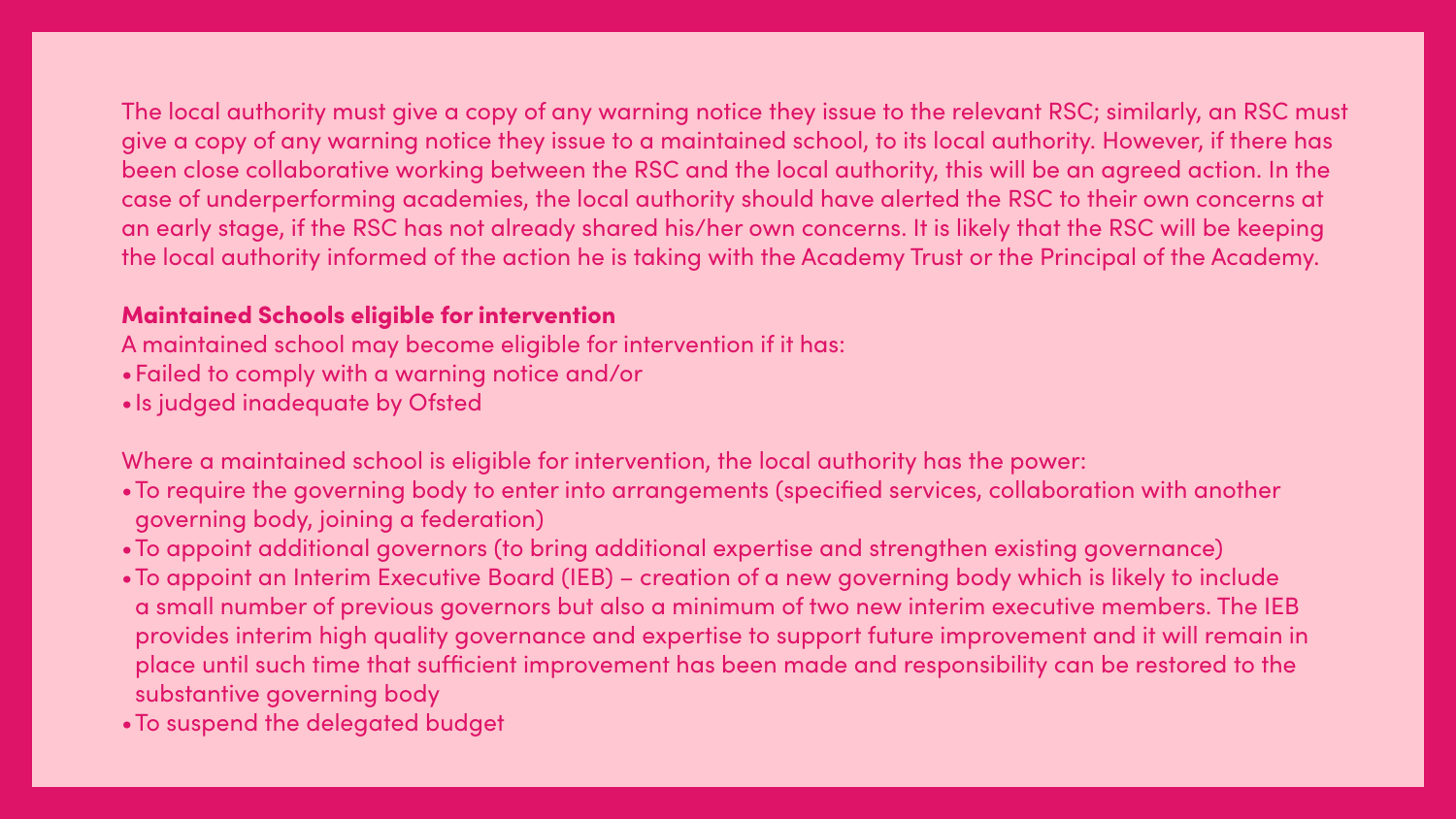The local authority must give a copy of any warning notice they issue to the relevant RSC; similarly, an RSC must give a copy of any warning notice they issue to a maintained school, to its local authority. However, if there has been close collaborative working between the RSC and the local authority, this will be an agreed action. In the case of underperforming academies, the local authority should have alerted the RSC to their own concerns at an early stage, if the RSC has not already shared his/her own concerns. It is likely that the RSC will be keeping

# the local authority informed of the action he is taking with the Academy Trust or the Principal of the Academy.

## Maintained Schools eligible for intervention

A maintained school may become eligible for intervention if it has: •Failed to comply with a warning notice and/or •Is judged inadequate by Ofsted

Where a maintained school is eligible for intervention, the local authority has the power: •To require the governing body to enter into arrangements (specified services, collaboration with another

•To appoint additional governors (to bring additional expertise and strengthen existing governance) •To appoint an Interim Executive Board (IEB) – creation of a new governing body which is likely to include a small number of previous governors but also a minimum of two new interim executive members. The IEB provides interim high quality governance and expertise to support future improvement and it will remain in place until such time that sufficient improvement has been made and responsibility can be restored to the

- governing body, joining a federation)
- 
- substantive governing body
- •To suspend the delegated budget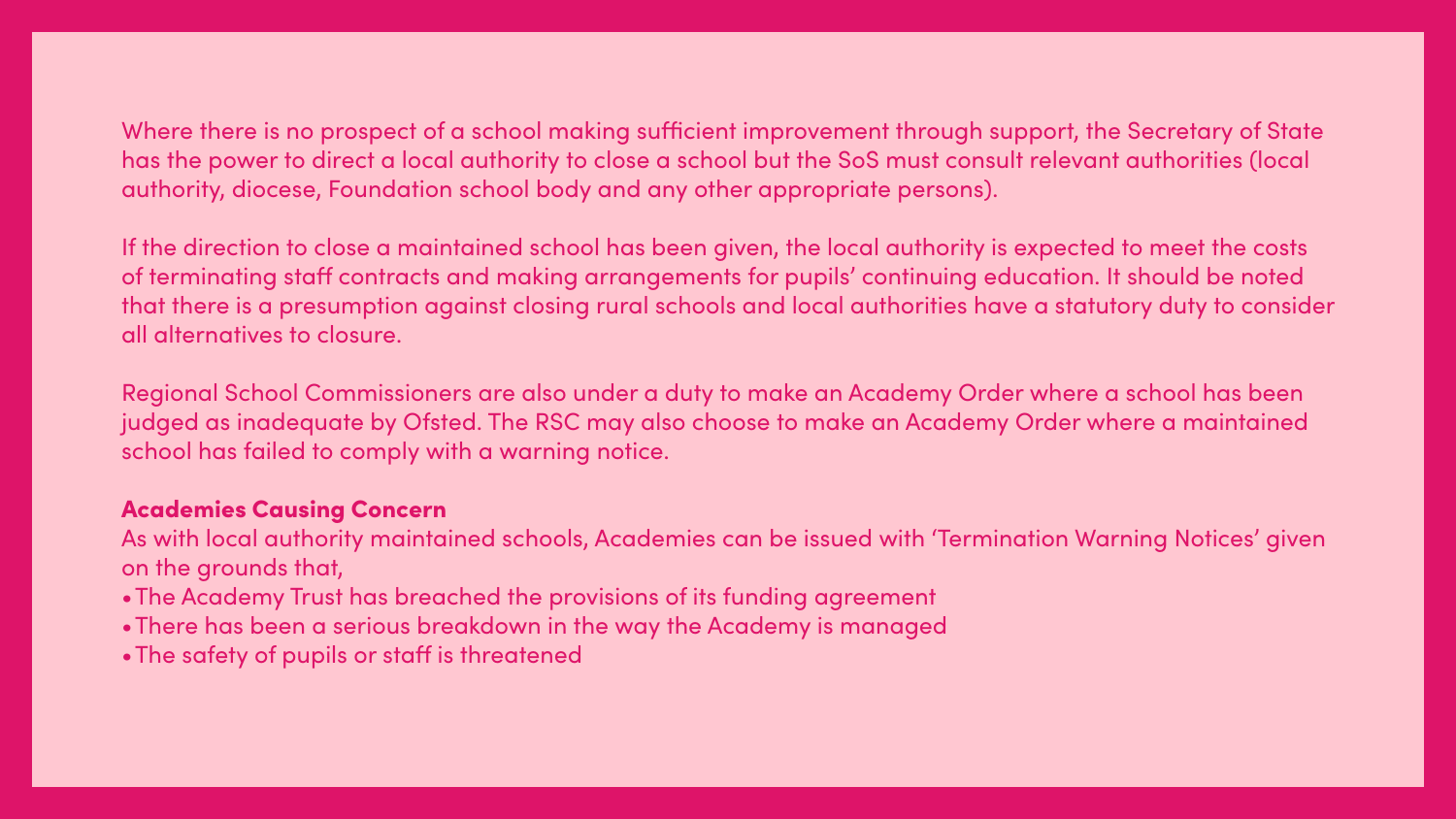Where there is no prospect of a school making sufficient improvement through support, the Secretary of State has the power to direct a local authority to close a school but the SoS must consult relevant authorities (local

# authority, diocese, Foundation school body and any other appropriate persons).

If the direction to close a maintained school has been given, the local authority is expected to meet the costs of terminating staff contracts and making arrangements for pupils' continuing education. It should be noted that there is a presumption against closing rural schools and local authorities have a statutory duty to consider all alternatives to closure.

Regional School Commissioners are also under a duty to make an Academy Order where a school has been judged as inadequate by Ofsted. The RSC may also choose to make an Academy Order where a maintained school has failed to comply with a warning notice.

## Academies Causing Concern

As with local authority maintained schools, Academies can be issued with 'Termination Warning Notices' given on the grounds that,

- •The Academy Trust has breached the provisions of its funding agreement
- •There has been a serious breakdown in the way the Academy is managed
- •The safety of pupils or staff is threatened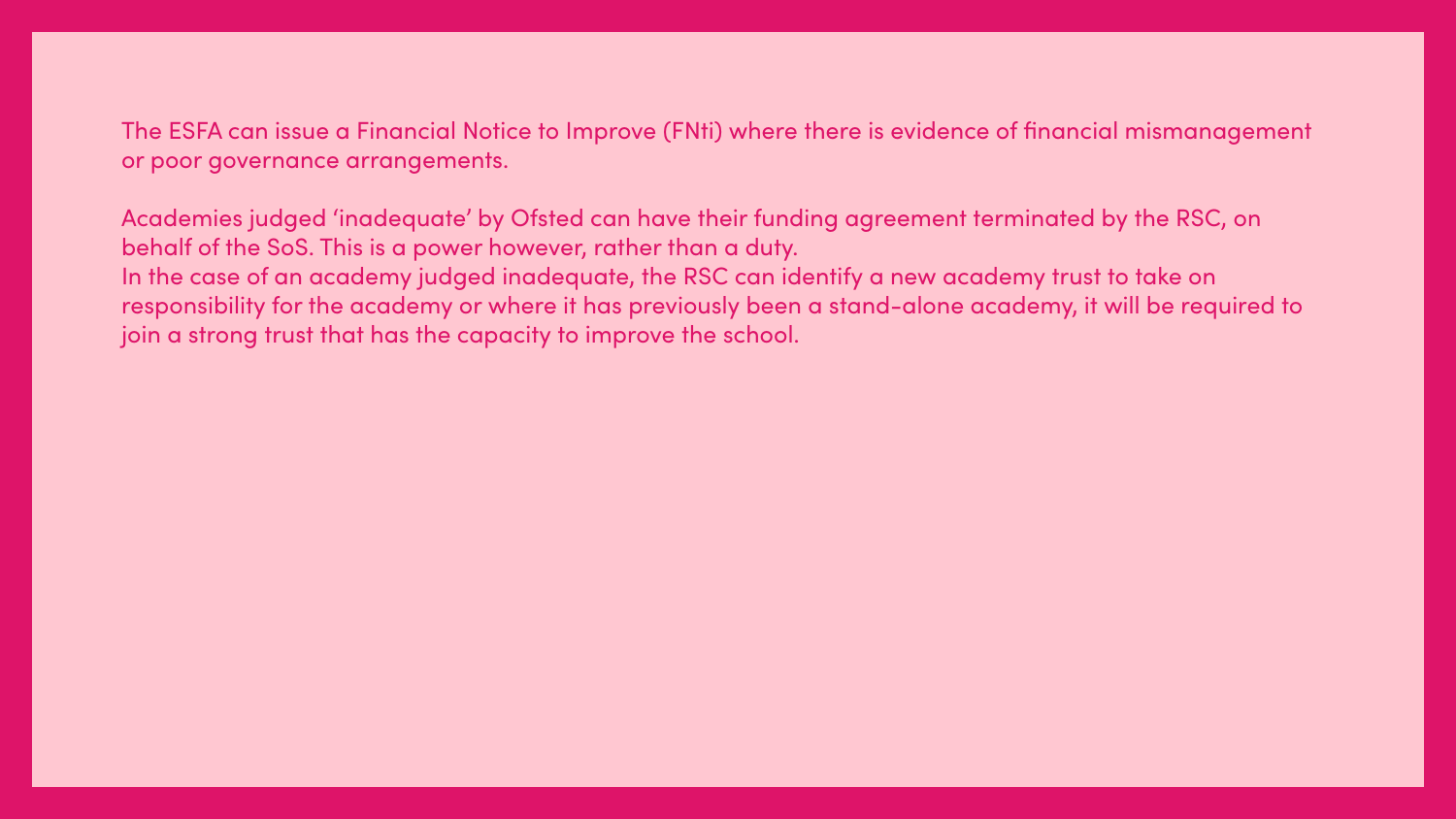The ESFA can issue a Financial Notice to Improve (FNti) where there is evidence of financial mismanagement or poor governance arrangements.

Academies judged 'inadequate' by Ofsted can have their funding agreement terminated by the RSC, on behalf of the SoS. This is a power however, rather than a duty. In the case of an academy judged inadequate, the RSC can identify a new academy trust to take on responsibility for the academy or where it has previously been a stand-alone academy, it will be required to join a strong trust that has the capacity to improve the school.